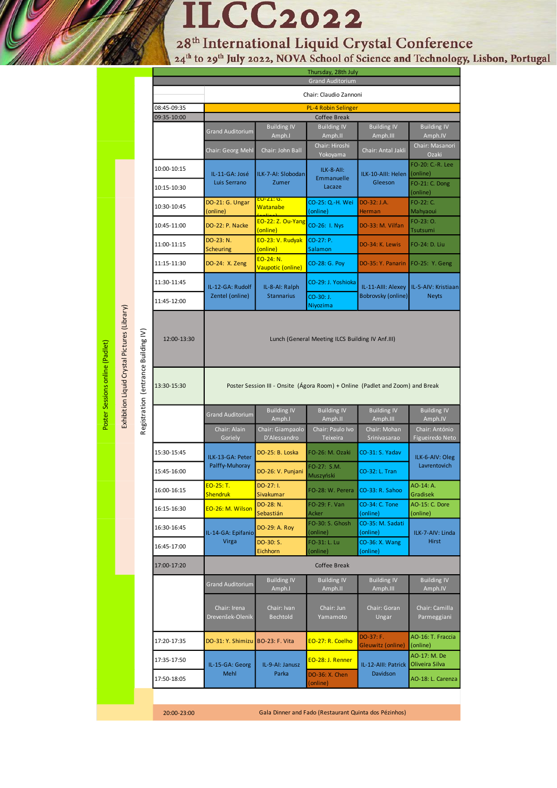# **ILCC2022**

28<sup>th</sup> International Liquid Crystal Conference<br><sup>24th</sup> to 29<sup>th</sup> July 2022, NOVA School of Science and Technology, Lisbon, Portugal

|                                              |                                     | Thursday, 28th July<br><b>Grand Auditorium</b> |                                                                               |                                                  |                                                       |                                          |                                     |
|----------------------------------------------|-------------------------------------|------------------------------------------------|-------------------------------------------------------------------------------|--------------------------------------------------|-------------------------------------------------------|------------------------------------------|-------------------------------------|
|                                              |                                     |                                                | Chair: Claudio Zannoni                                                        |                                                  |                                                       |                                          |                                     |
|                                              |                                     | 08:45-09:35                                    | <b>PL-4 Robin Selinger</b>                                                    |                                                  |                                                       |                                          |                                     |
|                                              |                                     | 09:35-10:00                                    | Coffee Break                                                                  |                                                  |                                                       |                                          |                                     |
|                                              |                                     |                                                | <b>Grand Auditorium</b>                                                       | <b>Building IV</b><br>Amph.I                     | <b>Building IV</b><br>Amph.II                         | <b>Building IV</b><br>Amph.III           | <b>Building IV</b><br>Amph.IV       |
|                                              |                                     |                                                | Chair: Georg Mehl                                                             | Chair: John Ball                                 | Chair: Hiroshi<br>Yokoyama                            | Chair: Antal Jakli                       | Chair: Masanori<br>Ozaki            |
| Exhibition Liquid Crystal Pictures (Library) |                                     | 10:00-10:15                                    | IL-11-GA: José<br>Luis Serrano                                                | ILK-7-AI: Slobodan<br>Zumer<br><u>EO-21: G. </u> | ILK-8-AII:<br>Emmanuelle<br>Lacaze                    | ILK-10-AIII: Helen<br>Gleeson            | FO-20: C .- R. Lee<br>(online)      |
|                                              |                                     | 10:15-10:30                                    |                                                                               |                                                  |                                                       |                                          | FO-21: C. Dong<br>(online)          |
|                                              |                                     | 10:30-10:45                                    | DO-21: G. Ungar<br>(online)                                                   | Watanabe                                         | CO-25: Q.-H. Wei<br>(online)                          | DO-32: J.A.<br>Herman                    | FO-22: C.<br>Mahyaoui               |
|                                              |                                     | 10:45-11:00                                    | DO-22: P. Nacke                                                               | <b>EO-22: Z. Ou-Yang</b><br>(online)             | CO-26: I. Nys                                         | DO-33: M. Vilfan                         | FO-23: O.<br>Tsutsumi               |
|                                              |                                     | 11:00-11:15                                    | DO-23: N.<br>Scheuring                                                        | EO-23: V. Rudyak<br>(online)                     | CO-27: P.<br>Salamon                                  | DO-34: K. Lewis                          | FO-24: D. Liu                       |
|                                              |                                     | 11:15-11:30                                    | DO-24: X. Zeng                                                                | EO-24: N.<br>Vaupotic (online)                   | CO-28: G. Poy                                         | DO-35: Y. Panarin                        | FO-25: Y. Geng                      |
|                                              | Registration (entrance Building IV) | 11:30-11:45                                    | IL-12-GA: Rudolf<br>Zentel (online)                                           | IL-8-AI: Ralph<br><b>Stannarius</b>              | CO-29: J. Yoshioka                                    | IL-11-AIII: Alexey<br>Bobrovsky (online) | IL-5-AIV: Kristiaan<br><b>Neyts</b> |
|                                              |                                     | 11:45-12:00                                    |                                                                               |                                                  | CO-30: J.<br>Niyozima                                 |                                          |                                     |
|                                              |                                     | 12:00-13:30                                    | Lunch (General Meeting ILCS Building IV Anf.III)                              |                                                  |                                                       |                                          |                                     |
|                                              |                                     | 13:30-15:30                                    | Poster Session III - Onsite (Agora Room) + Online (Padlet and Zoom) and Break |                                                  |                                                       |                                          |                                     |
|                                              |                                     |                                                | <b>Grand Auditorium</b>                                                       | <b>Building IV</b><br>Amph.I                     | <b>Building IV</b><br>Amph.II                         | <b>Building IV</b><br>Amph.III           | <b>Building IV</b><br>Amph.IV       |
|                                              |                                     |                                                | Chair: Alain<br>Goriely                                                       | Chair: Giampaolo<br>D'Alessandro                 | Chair: Paulo Ivo<br>Teixeira                          | Chair: Mohan<br>Srinivasarao             | Chair: António<br>Figueiredo Neto   |
|                                              |                                     | 15:30-15:45                                    | ILK-13-GA: Peter<br>Palffy-Muhoray                                            | DO-25: B. Loska                                  | FO-26: M. Ozaki                                       | CO-31: S. Yadav                          | ILK-6-AIV: Oleg<br>Lavrentovich     |
|                                              |                                     | 15:45-16:00                                    |                                                                               | DO-26: V. Punjani                                | FO-27: S.M.<br>Muszyński                              | CO-32: L. Tran                           |                                     |
|                                              |                                     | 16:00-16:15                                    | <b>EO-25: T.</b><br><b>Shendruk</b>                                           | DO-27: I.<br>Sivakumar                           | FO-28: W. Perera                                      | CO-33: R. Sahoo                          | AO-14: A.<br>Gradisek               |
|                                              |                                     | 16:15-16:30                                    | EO-26: M. Wilson                                                              | DO-28: N.<br>Sebastián                           | FO-29: F. Van<br>Acker                                | CO-34: C. Tone<br>(online)               | <b>AO-15: C. Dore</b><br>(online)   |
|                                              |                                     | 16:30-16:45                                    | IL-14-GA: Epifanio                                                            | DO-29: A. Roy                                    | FO-30: S. Ghosh<br>(online)                           | CO-35: M. Sadati<br>(online)             | ILK-7-AIV: Linda                    |
|                                              |                                     | 16:45-17:00                                    | Virga                                                                         | DO-30: S.<br>Eichhorn                            | FO-31: L. Lu<br>(online)                              | CO-36: X. Wang<br>(online)               | Hirst                               |
|                                              |                                     | 17:00-17:20                                    | Coffee Break                                                                  |                                                  |                                                       |                                          |                                     |
|                                              |                                     |                                                | <b>Grand Auditorium</b>                                                       | <b>Building IV</b><br>Amph.I                     | <b>Building IV</b><br>Amph.II                         | <b>Building IV</b><br>Amph.III           | <b>Building IV</b><br>Amph.IV       |
|                                              |                                     |                                                | Chair: Irena<br>Drevenšek-Olenik                                              | Chair: Ivan<br><b>Bechtold</b>                   | Chair: Jun<br>Yamamoto                                | Chair: Goran<br>Ungar                    | Chair: Camilla<br>Parmeggiani       |
|                                              |                                     | 17:20-17:35                                    | DO-31: Y. Shimizu                                                             | <b>BO-23: F. Vita</b>                            | EO-27: R. Coelho                                      | DO-37: F.<br>Gleuwitz (online)           | AO-16: T. Fraccia<br>(online)       |
|                                              |                                     | 17:35-17:50                                    | IL-15-GA: Georg<br>Mehl                                                       | IL-9-AI: Janusz<br>Parka                         | EO-28: J. Renner                                      | IL-12-AIII: Patrick<br>Davidson          | AO-17: M. De<br>Oliveira Silva      |
|                                              |                                     | 17:50-18:05                                    |                                                                               |                                                  | DO-36: X. Chen<br>(online)                            |                                          | AO-18: L. Carenza                   |
|                                              |                                     | 20:00-23:00                                    |                                                                               |                                                  | Gala Dinner and Fado (Restaurant Quinta dos Pézinhos) |                                          |                                     |

Poster Sessions online (Padlet)

Exhibition Liquid Crystal Pictures (Library)

Poster Sessions online (Padlet)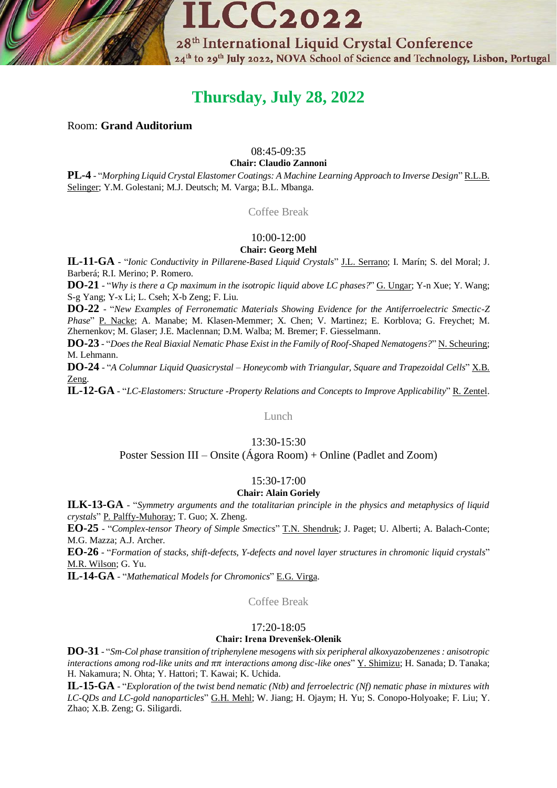

# **Thursday, July 28, 2022**

# Room: **Grand Auditorium**

# 08:45-09:35

#### **Chair: Claudio Zannoni**

**PL-4** - "*Morphing Liquid Crystal Elastomer Coatings: A Machine Learning Approach to Inverse Design*" R.L.B. Selinger; Y.M. Golestani; M.J. Deutsch; M. Varga; B.L. Mbanga.

Coffee Break

# 10:00-12:00

# **Chair: Georg Mehl**

**IL-11-GA** - "*Ionic Conductivity in Pillarene-Based Liquid Crystals*" J.L. Serrano; I. Marín; S. del Moral; J. Barberá; R.I. Merino; P. Romero.

**DO-21** - "*Why is there a Cp maximum in the isotropic liquid above LC phases?*" G. Ungar; Y-n Xue; Y. Wang; S-g Yang; Y-x Li; L. Cseh; X-b Zeng; F. Liu.

**DO-22** - "*New Examples of Ferronematic Materials Showing Evidence for the Antiferroelectric Smectic-Z Phase*" P. Nacke; A. Manabe; M. Klasen-Memmer; X. Chen; V. Martinez; E. Korblova; G. Freychet; M. Zhernenkov; M. Glaser; J.E. Maclennan; D.M. Walba; M. Bremer; F. Giesselmann.

**DO-23** - "*Does the Real Biaxial Nematic Phase Exist in the Family of Roof-Shaped Nematogens?*" N. Scheuring; M. Lehmann.

**DO-24** - "*A Columnar Liquid Quasicrystal – Honeycomb with Triangular, Square and Trapezoidal Cells*" X.B. Zeng.

**IL-12-GA** - "*LC-Elastomers: Structure -Property Relations and Concepts to Improve Applicability*" R. Zentel.

# Lunch

#### 13:30-15:30

Poster Session III – Onsite (Ágora Room) + Online (Padlet and Zoom)

# 15:30-17:00

# **Chair: Alain Goriely**

**ILK-13-GA** - "*Symmetry arguments and the totalitarian principle in the physics and metaphysics of liquid crystals*" P. Palffy-Muhoray; T. Guo; X. Zheng.

**EO-25** - "*Complex-tensor Theory of Simple Smectics*" T.N. Shendruk; J. Paget; U. Alberti; A. Balach-Conte; M.G. Mazza; A.J. Archer.

**EO-26** - "*Formation of stacks, shift-defects, Y-defects and novel layer structures in chromonic liquid crystals*" M.R. Wilson; G. Yu.

**IL-14-GA** - "*Mathematical Models for Chromonics*" E.G. Virga.

Coffee Break

#### 17:20-18:05

#### **Chair: Irena Drevenšek-Olenik**

**DO-31** - "*Sm-Col phase transition of triphenylene mesogens with six peripheral alkoxyazobenzenes : anisotropic interactions among rod-like units and interactions among disc-like ones*" Y. Shimizu; H. Sanada; D. Tanaka; H. Nakamura; N. Ohta; Y. Hattori; T. Kawai; K. Uchida.

**IL-15-GA** - "*Exploration of the twist bend nematic (Ntb) and ferroelectric (Nf) nematic phase in mixtures with LC-QDs and LC-gold nanoparticles*" G.H. Mehl; W. Jiang; H. Ojaym; H. Yu; S. Conopo-Holyoake; F. Liu; Y. Zhao; X.B. Zeng; G. Siligardi.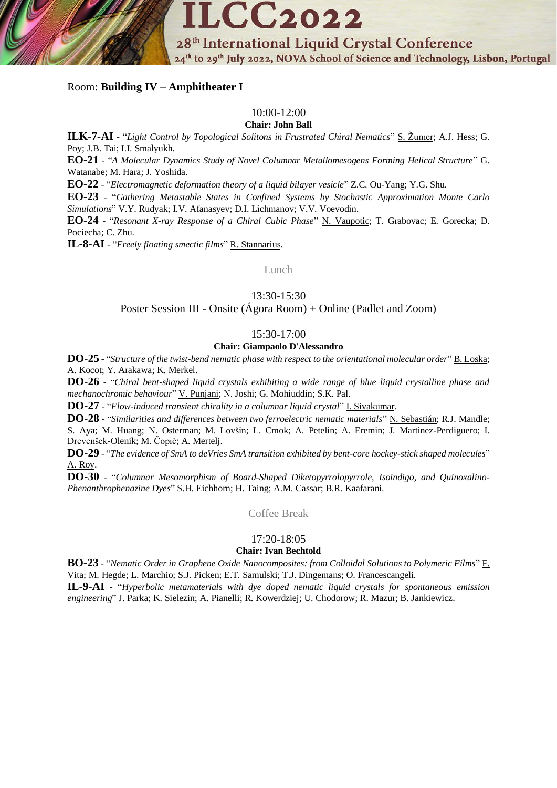28<sup>th</sup> International Liquid Crystal Conference 24<sup>th</sup> to 29<sup>th</sup> July 2022, NOVA School of Science and Technology, Lisbon, Portugal

# Room: **Building IV – Amphitheater I**

# 10:00-12:00

**ILCC2022** 

**Chair: John Ball**

**ILK-7-AI** - "*Light Control by Topological Solitons in Frustrated Chiral Nematics*" S. Žumer; A.J. Hess; G. Poy; J.B. Tai; I.I. Smalyukh.

**EO-21** - "*A Molecular Dynamics Study of Novel Columnar Metallomesogens Forming Helical Structure*" G. Watanabe; M. Hara; J. Yoshida.

**EO-22** - "*Electromagnetic deformation theory of a liquid bilayer vesicle*" Z.C. Ou-Yang; Y.G. Shu.

**EO-23** - "*Gathering Metastable States in Confined Systems by Stochastic Approximation Monte Carlo Simulations*" V.Y. Rudyak; I.V. Afanasyev; D.I. Lichmanov; V.V. Voevodin.

**EO-24** - "*Resonant X-ray Response of a Chiral Cubic Phase*" N. Vaupotic; T. Grabovac; E. Gorecka; D. Pociecha; C. Zhu.

**IL-8-AI** - "*Freely floating smectic films*" R. Stannarius.

Lunch

13:30-15:30

Poster Session III - Onsite (Ágora Room) + Online (Padlet and Zoom)

# 15:30-17:00

#### **Chair: Giampaolo D'Alessandro**

**DO-25** - "*Structure of the twist-bend nematic phase with respect to the orientational molecular order*" B. Loska; A. Kocot; Y. Arakawa; K. Merkel.

**DO-26** - "*Chiral bent-shaped liquid crystals exhibiting a wide range of blue liquid crystalline phase and mechanochromic behaviour*" V. Punjani; N. Joshi; G. Mohiuddin; S.K. Pal.

**DO-27** - "*Flow-induced transient chirality in a columnar liquid crystal*" I. Sivakumar.

**DO-28** - "*Similarities and differences between two ferroelectric nematic materials*" N. Sebastián; R.J. Mandle; S. Aya; M. Huang; N. Osterman; M. Lovšin; L. Cmok; A. Petelin; A. Eremin; J. Martinez-Perdiguero; I.

Drevenšek-Olenik; M. Čopič; A. Mertelj.

**DO-29** - "*The evidence of SmA to deVries SmA transition exhibited by bent-core hockey-stick shaped molecules*" A. Roy.

**DO-30** - "*Columnar Mesomorphism of Board-Shaped Diketopyrrolopyrrole, Isoindigo, and Quinoxalino-Phenanthrophenazine Dyes*" S.H. Eichhorn; H. Taing; A.M. Cassar; B.R. Kaafarani.

Coffee Break

# 17:20-18:05

#### **Chair: Ivan Bechtold**

**BO-23** - "*Nematic Order in Graphene Oxide Nanocomposites: from Colloidal Solutions to Polymeric Films*" F. Vita; M. Hegde; L. Marchio; S.J. Picken; E.T. Samulski; T.J. Dingemans; O. Francescangeli.

**IL-9-AI** - "*Hyperbolic metamaterials with dye doped nematic liquid crystals for spontaneous emission engineering*" J. Parka; K. Sielezin; A. Pianelli; R. Kowerdziej; U. Chodorow; R. Mazur; B. Jankiewicz.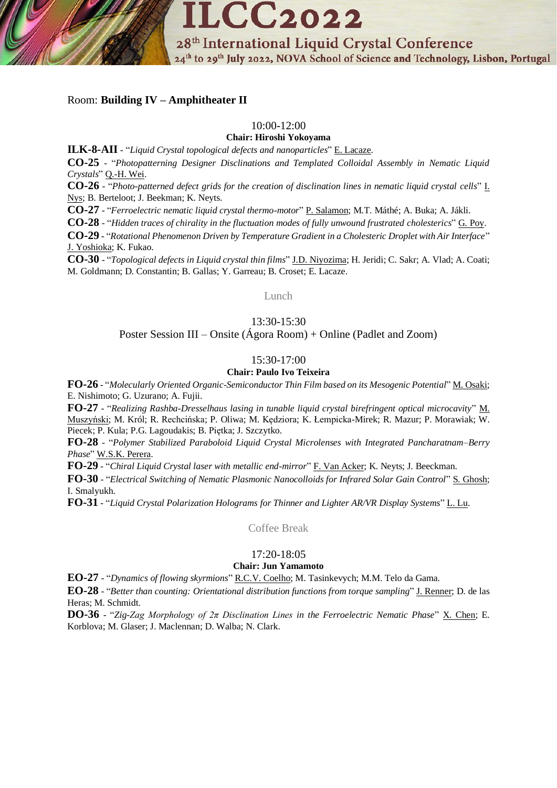

Room: **Building IV – Amphitheater II**

### 10:00-12:00

**Chair: Hiroshi Yokoyama**

**ILK-8-AII** - "*Liquid Crystal topological defects and nanoparticles*" E. Lacaze.

**CO-25** - "*Photopatterning Designer Disclinations and Templated Colloidal Assembly in Nematic Liquid Crystals*" Q.-H. Wei.

**CO-26** - "*Photo-patterned defect grids for the creation of disclination lines in nematic liquid crystal cells*" I. Nys; B. Berteloot; J. Beekman; K. Neyts.

**CO-27** - "*Ferroelectric nematic liquid crystal thermo-motor*" P. Salamon; M.T. Máthé; A. Buka; A. Jákli.

**CO-28** - "*Hidden traces of chirality in the fluctuation modes of fully unwound frustrated cholesterics*" G. Poy.

**CO-29** - "*Rotational Phenomenon Driven by Temperature Gradient in a Cholesteric Droplet with Air Interface*" J. Yoshioka; K. Fukao.

**CO-30** - "*Topological defects in Liquid crystal thin films*" J.D. Niyozima; H. Jeridi; C. Sakr; A. Vlad; A. Coati; M. Goldmann; D. Constantin; B. Gallas; Y. Garreau; B. Croset; E. Lacaze.

Lunch

# 13:30-15:30

# Poster Session III – Onsite (Ágora Room) + Online (Padlet and Zoom)

### 15:30-17:00

# **Chair: Paulo Ivo Teixeira**

**FO-26** - "*Molecularly Oriented Organic-Semiconductor Thin Film based on its Mesogenic Potential*" M. Osaki; E. Nishimoto; G. Uzurano; A. Fujii.

**FO-27** - "*Realizing Rashba-Dresselhaus lasing in tunable liquid crystal birefringent optical microcavity*" M. Muszyński; M. Król; R. Rechcińska; P. Oliwa; M. Kędziora; K. Łempicka-Mirek; R. Mazur; P. Morawiak; W. Piecek; P. Kula; P.G. Lagoudakis; B. Piętka; J. Szczytko.

**FO-28** - "*Polymer Stabilized Paraboloid Liquid Crystal Microlenses with Integrated Pancharatnam–Berry Phase*" W.S.K. Perera.

**FO-29** - "*Chiral Liquid Crystal laser with metallic end-mirror*" F. Van Acker; K. Neyts; J. Beeckman.

**FO-30** - "*Electrical Switching of Nematic Plasmonic Nanocolloids for Infrared Solar Gain Control*" S. Ghosh; I. Smalyukh.

**FO-31** - "*Liquid Crystal Polarization Holograms for Thinner and Lighter AR/VR Display Systems*" L. Lu.

Coffee Break

#### 17:20-18:05

# **Chair: Jun Yamamoto**

**EO-27** - "*Dynamics of flowing skyrmions*" R.C.V. Coelho; M. Tasinkevych; M.M. Telo da Gama.

**EO-28** - "*Better than counting: Orientational distribution functions from torque sampling*" J. Renner; D. de las Heras; M. Schmidt.

**DO-36** - "*Zig-Zag Morphology of 2π Disclination Lines in the Ferroelectric Nematic Phase*" X. Chen; E. Korblova; M. Glaser; J. Maclennan; D. Walba; N. Clark.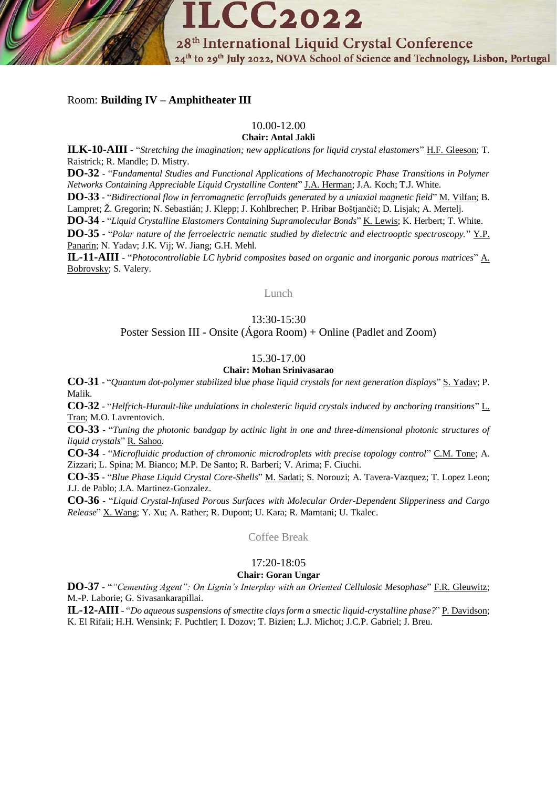

# Room: **Building IV – Amphitheater III**

# 10.00-12.00

**Chair: Antal Jakli**

**ILK-10-AIII** - "*Stretching the imagination; new applications for liquid crystal elastomers*" H.F. Gleeson; T. Raistrick; R. Mandle; D. Mistry.

**DO-32** - "*Fundamental Studies and Functional Applications of Mechanotropic Phase Transitions in Polymer Networks Containing Appreciable Liquid Crystalline Content*" J.A. Herman; J.A. Koch; T.J. White.

**DO-33** - "*Bidirectional flow in ferromagnetic ferrofluids generated by a uniaxial magnetic field*" M. Vilfan; B. Lampret; Ž. Gregorin; N. Sebastián; J. Klepp; J. Kohlbrecher; P. Hribar Boštjančič; D. Lisjak; A. Mertelj.

**DO-34** - "*Liquid Crystalline Elastomers Containing Supramolecular Bonds*" K. Lewis; K. Herbert; T. White.

**DO-35** - "*Polar nature of the ferroelectric nematic studied by dielectric and electrooptic spectroscopy.*" Y.P. Panarin; N. Yadav; J.K. Vij; W. Jiang; G.H. Mehl.

**IL-11-AIII** - "*Photocontrollable LC hybrid composites based on organic and inorganic porous matrices*" A. Bobrovsky; S. Valery.

Lunch

# 13:30-15:30

# Poster Session III - Onsite (Ágora Room) + Online (Padlet and Zoom)

# 15.30-17.00

#### **Chair: Mohan Srinivasarao**

**CO-31** - "*Quantum dot-polymer stabilized blue phase liquid crystals for next generation displays*" S. Yadav; P. Malik.

**CO-32** - "*Helfrich-Hurault-like undulations in cholesteric liquid crystals induced by anchoring transitions*" L. Tran; M.O. Lavrentovich.

**CO-33** - "*Tuning the photonic bandgap by actinic light in one and three-dimensional photonic structures of liquid crystals*" R. Sahoo.

**CO-34** - "*Microfluidic production of chromonic microdroplets with precise topology control*" C.M. Tone; A. Zizzari; L. Spina; M. Bianco; M.P. De Santo; R. Barberi; V. Arima; F. Ciuchi.

**CO-35** - "*Blue Phase Liquid Crystal Core-Shells*" M. Sadati; S. Norouzi; A. Tavera-Vazquez; T. Lopez Leon; J.J. de Pablo; J.A. Martinez-Gonzalez.

**CO-36** - "*Liquid Crystal-Infused Porous Surfaces with Molecular Order-Dependent Slipperiness and Cargo Release*" X. Wang; Y. Xu; A. Rather; R. Dupont; U. Kara; R. Mamtani; U. Tkalec.

Coffee Break

#### 17:20-18:05

#### **Chair: Goran Ungar**

**DO-37** - "*"Cementing Agent": On Lignin's Interplay with an Oriented Cellulosic Mesophase*" F.R. Gleuwitz; M.-P. Laborie; G. Sivasankarapillai.

**IL-12-AIII**- "*Do aqueous suspensions of smectite clays form a smectic liquid-crystalline phase?*" P. Davidson; K. El Rifaii; H.H. Wensink; F. Puchtler; I. Dozov; T. Bizien; L.J. Michot; J.C.P. Gabriel; J. Breu.